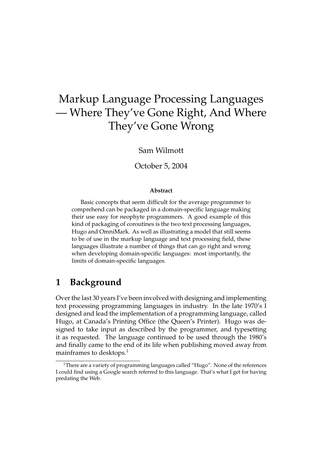# Markup Language Processing Languages — Where They've Gone Right, And Where They've Gone Wrong

#### Sam Wilmott

October 5, 2004

#### **Abstract**

Basic concepts that seem difficult for the average programmer to comprehend can be packaged in a domain-specific language making their use easy for neophyte programmers. A good example of this kind of packaging of coroutines is the two text processing languages, Hugo and OmniMark. As well as illustrating a model that still seems to be of use in the markup language and text processing field, these languages illustrate a number of things that can go right and wrong when developing domain-specific languages: most importantly, the limits of domain-specific languages.

### **1 Background**

Over the last 30 years I've been involved with designing and implementing text processing programming languages in industry. In the late 1970's I designed and lead the implementation of a programming language, called Hugo, at Canada's Printing Office (the Queen's Printer). Hugo was designed to take input as described by the programmer, and typesetting it as requested. The language continued to be used through the 1980's and finally came to the end of its life when publishing moved away from mainframes to desktops.<sup>1</sup>

<sup>&</sup>lt;sup>1</sup>There are a variety of programming languages called "Hugo". None of the references I could find using a Google search referred to this language. That's what I get for having predating the Web.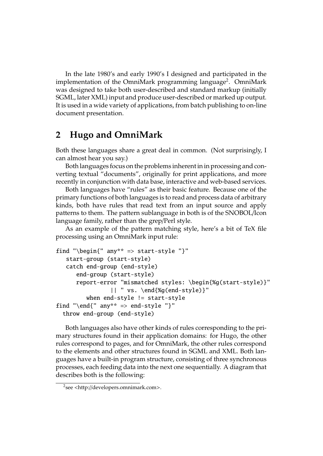In the late 1980's and early 1990's I designed and participated in the implementation of the OmniMark programming language<sup>2</sup>. OmniMark was designed to take both user-described and standard markup (initially SGML, later XML) input and produce user-described or marked up output. It is used in a wide variety of applications, from batch publishing to on-line document presentation.

### **2 Hugo and OmniMark**

Both these languages share a great deal in common. (Not surprisingly, I can almost hear you say.)

Both languages focus on the problems inherent in in processing and converting textual "documents", originally for print applications, and more recently in conjunction with data base, interactive and web-based services.

Both languages have "rules" as their basic feature. Because one of the primary functions of both languages is to read and process data of arbitrary kinds, both have rules that read text from an input source and apply patterns to them. The pattern sublanguage in both is of the SNOBOL/Icon language family, rather than the grep/Perl style.

As an example of the pattern matching style, here's a bit of TeX file processing using an OmniMark input rule:

```
find "\begin{" any** => start-style "}"
   start-group (start-style)
   catch end-group (end-style)
      end-group (start-style)
      report-error "mismatched styles: \begin{%g(start-style)}"
                 || " vs. \end{%g(end-style)}"
         when end-style != start-style
find "\end{bmatrix}" any** => end-style "}"
  throw end-group (end-style)
```
Both languages also have other kinds of rules corresponding to the primary structures found in their application domains: for Hugo, the other rules correspond to pages, and for OmniMark, the other rules correspond to the elements and other structures found in SGML and XML. Both languages have a built-in program structure, consisting of three synchronous processes, each feeding data into the next one sequentially. A diagram that describes both is the following:

<sup>2</sup> see <http://developers.omnimark.com>.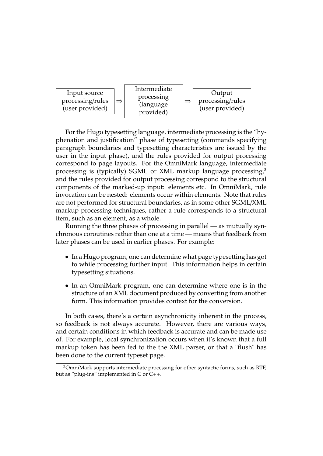

For the Hugo typesetting language, intermediate processing is the "hyphenation and justification" phase of typesetting (commands specifying paragraph boundaries and typesetting characteristics are issued by the user in the input phase), and the rules provided for output processing correspond to page layouts. For the OmniMark language, intermediate processing is (typically) SGML or XML markup language processing, $3$ and the rules provided for output processing correspond to the structural components of the marked-up input: elements etc. In OmniMark, rule invocation can be nested: elements occur within elements. Note that rules are not performed for structural boundaries, as in some other SGML/XML markup processing techniques, rather a rule corresponds to a structural item, such as an element, as a whole.

Running the three phases of processing in parallel — as mutually synchronous coroutines rather than one at a time — means that feedback from later phases can be used in earlier phases. For example:

- In a Hugo program, one can determine what page typesetting has got to while processing further input. This information helps in certain typesetting situations.
- In an OmniMark program, one can determine where one is in the structure of an XML document produced by converting from another form. This information provides context for the conversion.

In both cases, there's a certain asynchronicity inherent in the process, so feedback is not always accurate. However, there are various ways, and certain conditions in which feedback is accurate and can be made use of. For example, local synchronization occurs when it's known that a full markup token has been fed to the the XML parser, or that a "flush" has been done to the current typeset page.

 $3$ OmniMark supports intermediate processing for other syntactic forms, such as RTF, but as "plug-ins" implemented in C or C++.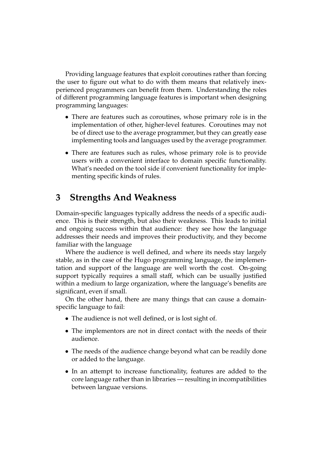Providing language features that exploit coroutines rather than forcing the user to figure out what to do with them means that relatively inexperienced programmers can benefit from them. Understanding the roles of different programming language features is important when designing programming languages:

- There are features such as coroutines, whose primary role is in the implementation of other, higher-level features. Coroutines may not be of direct use to the average programmer, but they can greatly ease implementing tools and languages used by the average programmer.
- There are features such as rules, whose primary role is to provide users with a convenient interface to domain specific functionality. What's needed on the tool side if convenient functionality for implementing specific kinds of rules.

### **3 Strengths And Weakness**

Domain-specific languages typically address the needs of a specific audience. This is their strength, but also their weakness. This leads to initial and ongoing success within that audience: they see how the language addresses their needs and improves their productivity, and they become familiar with the language

Where the audience is well defined, and where its needs stay largely stable, as in the case of the Hugo programming language, the implementation and support of the language are well worth the cost. On-going support typically requires a small staff, which can be usually justified within a medium to large organization, where the language's benefits are significant, even if small.

On the other hand, there are many things that can cause a domainspecific language to fail:

- The audience is not well defined, or is lost sight of.
- The implementors are not in direct contact with the needs of their audience.
- The needs of the audience change beyond what can be readily done or added to the language.
- In an attempt to increase functionality, features are added to the core language rather than in libraries — resulting in incompatibilities between languae versions.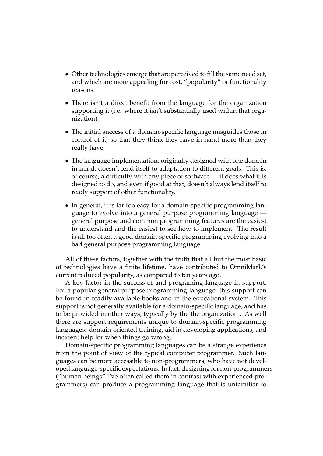- Other technologies emerge that are perceived to fill the same need set, and which are more appealing for cost, "popularity" or functionality reasons.
- There isn't a direct benefit from the language for the organization supporting it (i.e. where it isn't substantially used within that organization).
- The initial success of a domain-specific language misguides those in control of it, so that they think they have in hand more than they really have.
- The language implementation, originally designed with one domain in mind, doesn't lend itself to adaptation to different goals. This is, of course, a difficulty with any piece of software — it does what it is designed to do, and even if good at that, doesn't always lend itself to ready support of other functionality.
- In general, it is far too easy for a domain-specific programming language to evolve into a general purpose programming language general purpose and common programming features are the easiest to understand and the easiest to see how to implement. The result is all too often a good domain-specific programming evolving into a bad general purpose programming language.

All of these factors, together with the truth that all but the most basic of technologies have a finite lifetime, have contributed to OmniMark's current reduced popularity, as compared to ten years ago.

A key factor in the success of and programing language in support. For a popular general-purpose programming language, this support can be found in readily-available books and in the educational system. This support is not generally available for a domain-specific language, and has to be provided in other ways, typically by the the organization . As well there are support requirements unique to domain-specific programming languages: domain-oriented training, aid in developing applications, and incident help for when things go wrong.

Domain-specific programming languages can be a strange experience from the point of view of the typical computer programmer. Such languages can be more accessible to non-programmers, who have not developed language-specific expectations. In fact, designing for non-programmers ("human beings" I've often called them in contrast with experienced programmers) can produce a programming language that is unfamiliar to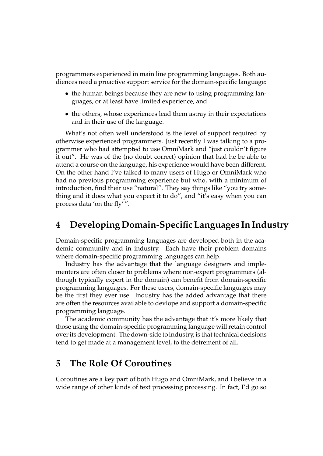programmers experienced in main line programming languages. Both audiences need a proactive support service for the domain-specific language:

- the human beings because they are new to using programming languages, or at least have limited experience, and
- the others, whose experiences lead them astray in their expectations and in their use of the language.

What's not often well understood is the level of support required by otherwise experienced programmers. Just recently I was talking to a programmer who had attempted to use OmniMark and "just couldn't figure it out". He was of the (no doubt correct) opinion that had he be able to attend a course on the language, his experience would have been different. On the other hand I've talked to many users of Hugo or OmniMark who had no previous programming experience but who, with a minimum of introduction, find their use "natural". They say things like "you try something and it does what you expect it to do", and "it's easy when you can process data 'on the fly' ".

#### **4 Developing Domain-Specific Languages In Industry**

Domain-specific programming languages are developed both in the academic community and in industry. Each have their problem domains where domain-specific programming languages can help.

Industry has the advantage that the language designers and implementers are often closer to problems where non-expert programmers (although typically expert in the domain) can benefit from domain-specific programming languages. For these users, domain-specific languages may be the first they ever use. Industry has the added advantage that there are often the resources available to devlope and support a domain-specific programming language.

The academic community has the advantage that it's more likely that those using the domain-specific programming language will retain control over its development. The down-side to industry, is that technical decisions tend to get made at a management level, to the detrement of all.

### **5 The Role Of Coroutines**

Coroutines are a key part of both Hugo and OmniMark, and I believe in a wide range of other kinds of text processing processing. In fact, I'd go so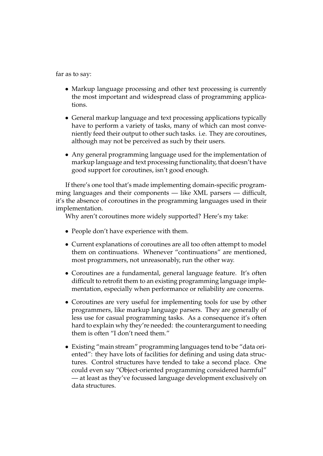far as to say:

- Markup language processing and other text processing is currently the most important and widespread class of programming applications.
- General markup language and text processing applications typically have to perform a variety of tasks, many of which can most conveniently feed their output to other such tasks. i.e. They are coroutines, although may not be perceived as such by their users.
- Any general programming language used for the implementation of markup language and text processing functionality, that doesn't have good support for coroutines, isn't good enough.

If there's one tool that's made implementing domain-specific programming languages and their components — like XML parsers — difficult, it's the absence of coroutines in the programming languages used in their implementation.

Why aren't coroutines more widely supported? Here's my take:

- People don't have experience with them.
- Current explanations of coroutines are all too often attempt to model them on continuations. Whenever "continuations" are mentioned, most programmers, not unreasonably, run the other way.
- Coroutines are a fundamental, general language feature. It's often difficult to retrofit them to an existing programming language implementation, especially when performance or reliability are concerns.
- Coroutines are very useful for implementing tools for use by other programmers, like markup language parsers. They are generally of less use for casual programming tasks. As a consequence it's often hard to explain why they're needed: the counterargument to needing them is often "I don't need them."
- Existing "main stream" programming languages tend to be "data oriented": they have lots of facilities for defining and using data structures. Control structures have tended to take a second place. One could even say "Object-oriented programming considered harmful" — at least as they've focussed language development exclusively on data structures.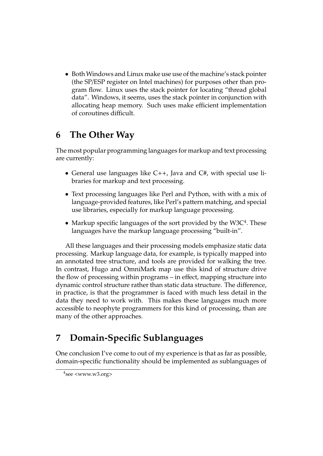• Both Windows and Linux make use use of the machine's stack pointer (the SP/ESP register on Intel machines) for purposes other than program flow. Linux uses the stack pointer for locating "thread global data". Windows, it seems, uses the stack pointer in conjunction with allocating heap memory. Such uses make efficient implementation of coroutines difficult.

## **6 The Other Way**

The most popular programming languages for markup and text processing are currently:

- General use languages like C++, Java and C#, with special use libraries for markup and text processing.
- Text processing languages like Perl and Python, with with a mix of language-provided features, like Perl's pattern matching, and special use libraries, especially for markup language processing.
- Markup specific languages of the sort provided by the W3C<sup>4</sup>. These languages have the markup language processing "built-in".

All these languages and their processing models emphasize static data processing. Markup language data, for example, is typically mapped into an annotated tree structure, and tools are provided for walking the tree. In contrast, Hugo and OmniMark map use this kind of structure drive the flow of processing within programs – in effect, mapping structure into dynamic control structure rather than static data structure. The difference, in practice, is that the programmer is faced with much less detail in the data they need to work with. This makes these languages much more accessible to neophyte programmers for this kind of processing, than are many of the other approaches.

# **7 Domain-Specific Sublanguages**

One conclusion I've come to out of my experience is that as far as possible, domain-specific functionality should be implemented as sublanguages of

<sup>4</sup> see <www.w3.org>